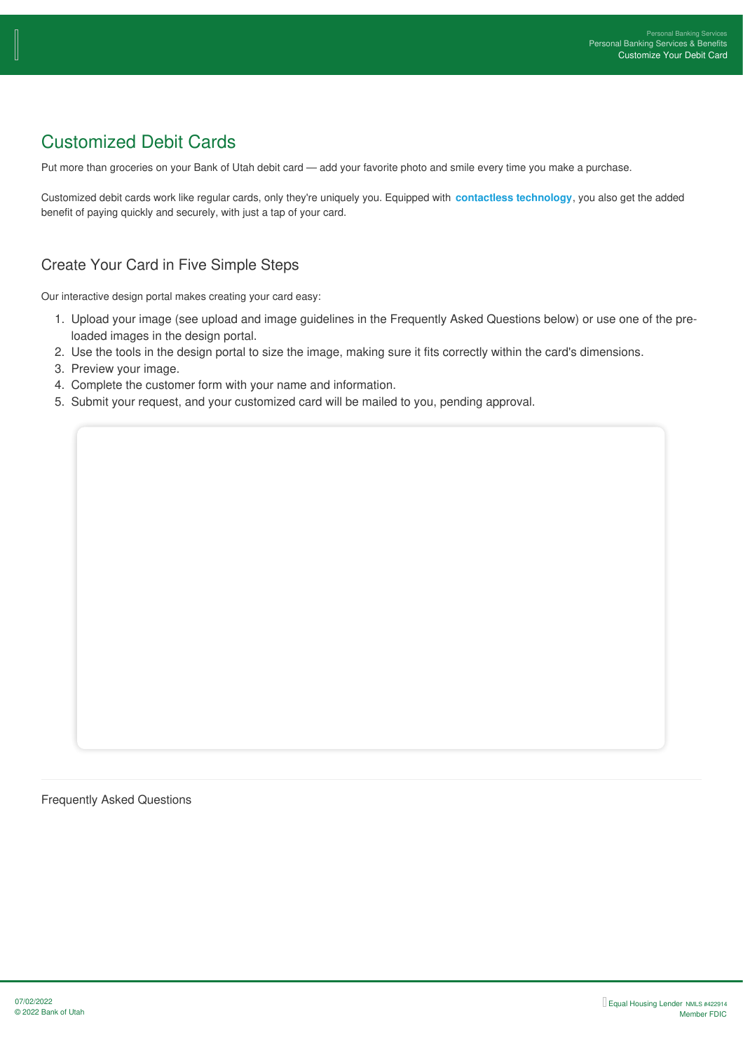# Customized Debit Cards

Put more than groceries on your Bank of Utah debit card — add your favorite photo and smile every time you make a purchase.

Customized debit cards work like regular cards, only they're uniquely you. Equipped with **contactless technology**, you also get the added benefit of paying quickly and securely, with just a tap of your card.

# Create Your Card in Five Simple Steps

Our interactive design portal makes creating your card easy:

- 1. Upload your image (see upload and image guidelines in the Frequently Asked Questions below) or use one of the preloaded images in the design portal.
- 2. Use the tools in the design portal to size the image, making sure it fits correctly within the card's dimensions.
- 3. Preview your image.
- 4. Complete the customer form with your name and information.
- 5. Submit your request, and your customized card will be mailed to you, pending approval.

Frequently Asked Questions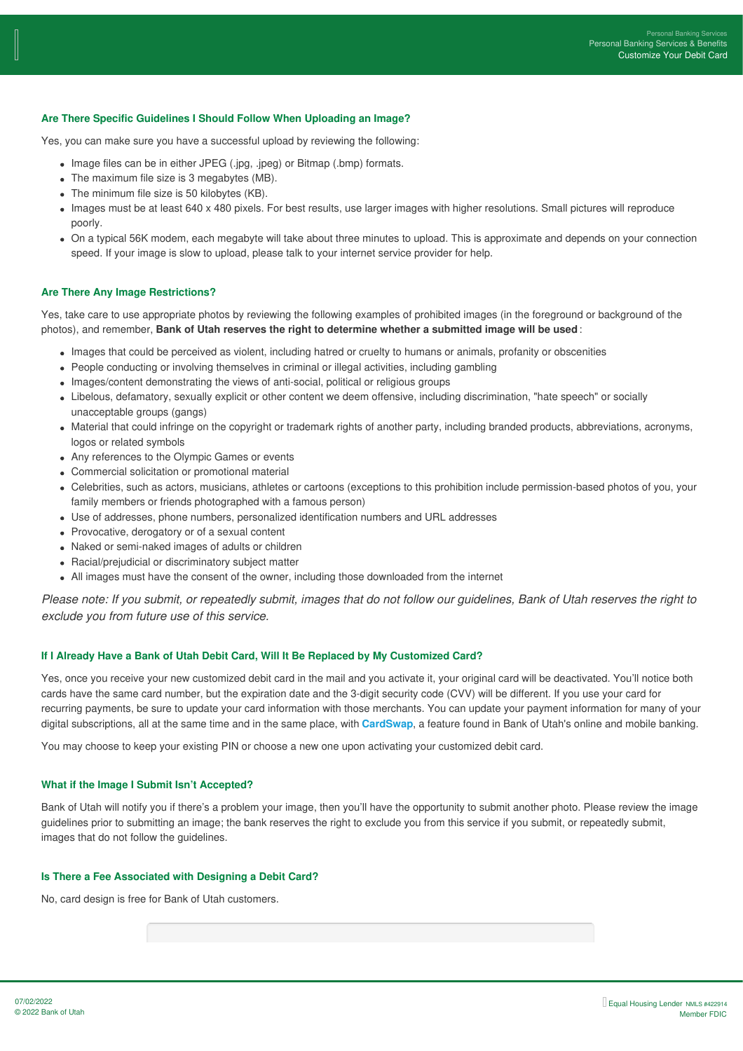### **Are There Specific Guidelines I Should Follow When Uploading an Image?**

Yes, you can make sure you have a successful upload by reviewing the following:

- Image files can be in either JPEG (.jpg, .jpeg) or Bitmap (.bmp) formats.
- The maximum file size is 3 megabytes (MB).
- The minimum file size is 50 kilobytes (KB).
- Images must be at least 640 x 480 pixels. For best results, use larger images with higher resolutions. Small pictures will reproduce poorly.
- On a typical 56K modem, each megabyte will take about three minutes to upload. This is approximate and depends on your connection speed. If your image is slow to upload, please talk to your internet service provider for help.

### **Are There Any Image Restrictions?**

Yes, take care to use appropriate photos by reviewing the following examples of prohibited images (in the foreground or background of the photos), and remember, **Bank of Utah reserves the right to determine whether a submitted image will be used** :

- Images that could be perceived as violent, including hatred or cruelty to humans or animals, profanity or obscenities
- People conducting or involving themselves in criminal or illegal activities, including gambling
- Images/content demonstrating the views of anti-social, political or religious groups
- Libelous, defamatory, sexually explicit or other content we deem offensive, including discrimination, "hate speech" or socially unacceptable groups (gangs)
- Material that could infringe on the copyright or trademark rights of another party, including branded products, abbreviations, acronyms, logos or related symbols
- Any references to the Olympic Games or events
- Commercial solicitation or promotional material
- Celebrities, such as actors, musicians, athletes or cartoons (exceptions to this prohibition include permission-based photos of you, your family members or friends photographed with a famous person)
- Use of addresses, phone numbers, personalized identification numbers and URL addresses
- Provocative, derogatory or of a sexual content
- Naked or semi-naked images of adults or children
- Racial/prejudicial or discriminatory subject matter
- All images must have the consent of the owner, including those downloaded from the internet

Please note: If you submit, or repeatedly submit, images that do not follow our guidelines, Bank of Utah reserves the right to *exclude you from future use of this service.*

#### **If I Already Have a Bank of Utah Debit Card, Will It Be Replaced by My Customized Card?**

Yes, once you receive your new customized debit card in the mail and you activate it, your original card will be deactivated. You'll notice both cards have the same card number, but the expiration date and the 3-digit security code (CVV) will be different. If you use your card for recurring payments, be sure to update your card information with those merchants. You can update your payment information for many of your digital subscriptions, all at the same time and in the same place, with **CardSwap**, a feature found in Bank of Utah's online and mobile banking.

You may choose to keep your existing PIN or choose a new one upon activating your customized debit card.

## **What if the Image I Submit Isn't Accepted?**

Bank of Utah will notify you if there's a problem your image, then you'll have the opportunity to submit another photo. Please review the image guidelines prior to submitting an image; the bank reserves the right to exclude you from this service if you submit, or repeatedly submit, images that do not follow the guidelines.

#### **Is There a Fee Associated with Designing a Debit Card?**

No, card design is free for Bank of Utah customers.